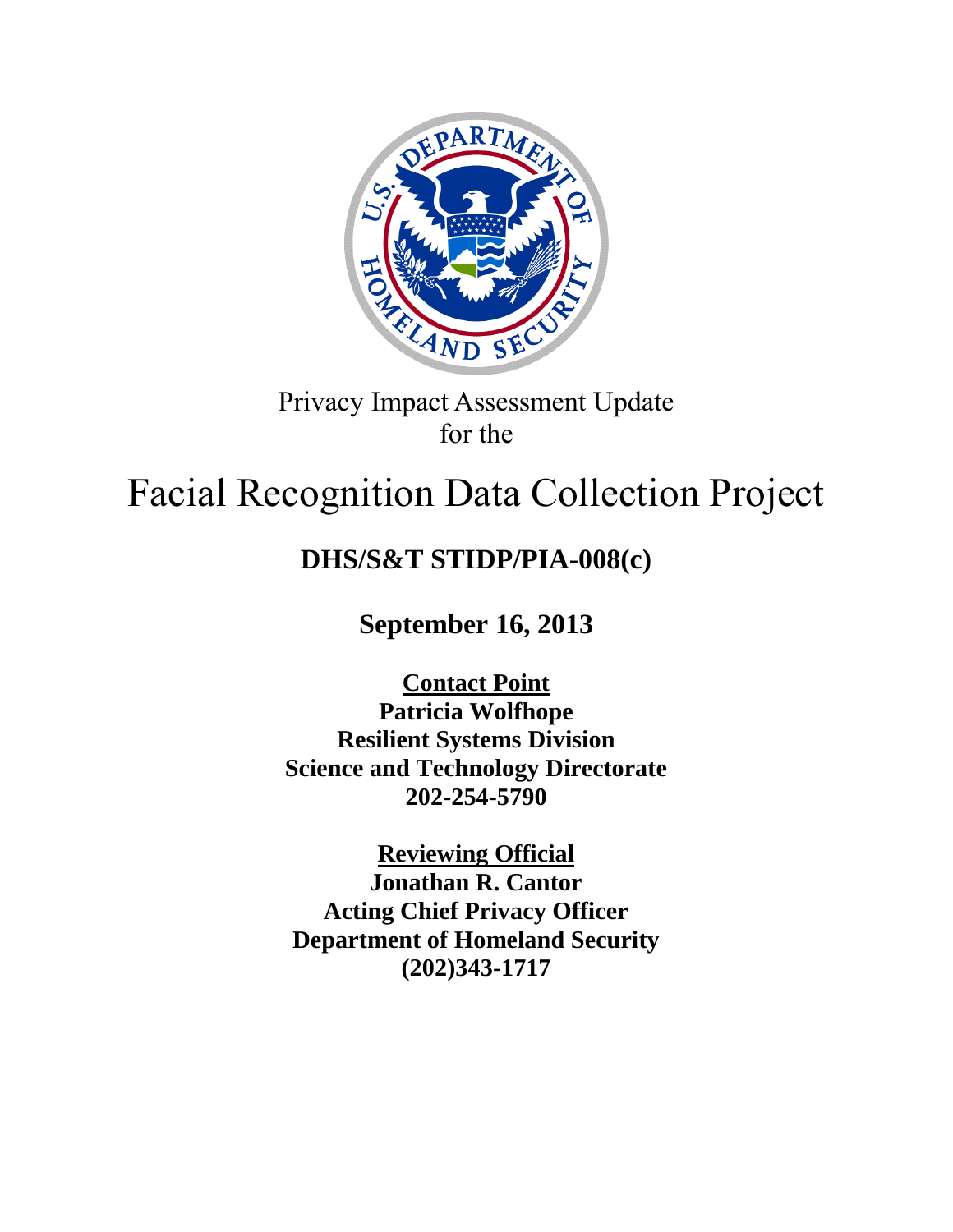

# Privacy Impact Assessment Update for the

# Facial Recognition Data Collection Project

# **DHS/S&T STIDP/PIA-008(c)**

**September 16, 2013**

**Contact Point Patricia Wolfhope Resilient Systems Division Science and Technology Directorate 202-254-5790**

**Reviewing Official Jonathan R. Cantor Acting Chief Privacy Officer Department of Homeland Security (202)343-1717**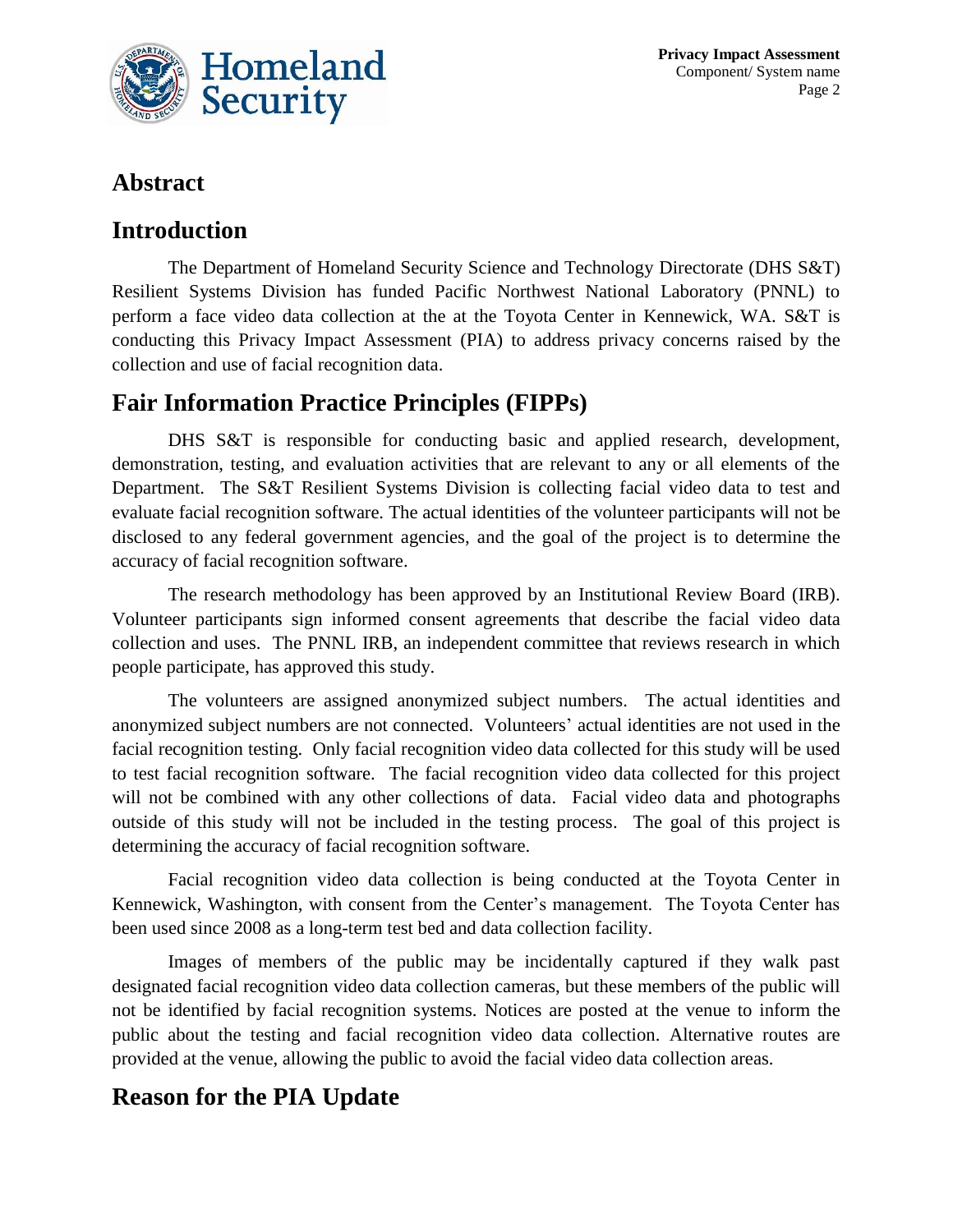

# **Abstract**

### **Introduction**

The Department of Homeland Security Science and Technology Directorate (DHS S&T) Resilient Systems Division has funded Pacific Northwest National Laboratory (PNNL) to perform a face video data collection at the at the Toyota Center in Kennewick, WA. S&T is conducting this Privacy Impact Assessment (PIA) to address privacy concerns raised by the collection and use of facial recognition data.

## **Fair Information Practice Principles (FIPPs)**

DHS S&T is responsible for conducting basic and applied research, development, demonstration, testing, and evaluation activities that are relevant to any or all elements of the Department. The S&T Resilient Systems Division is collecting facial video data to test and evaluate facial recognition software. The actual identities of the volunteer participants will not be disclosed to any federal government agencies, and the goal of the project is to determine the accuracy of facial recognition software.

The research methodology has been approved by an Institutional Review Board (IRB). Volunteer participants sign informed consent agreements that describe the facial video data collection and uses. The PNNL IRB, an independent committee that reviews research in which people participate, has approved this study.

The volunteers are assigned anonymized subject numbers. The actual identities and anonymized subject numbers are not connected. Volunteers' actual identities are not used in the facial recognition testing. Only facial recognition video data collected for this study will be used to test facial recognition software. The facial recognition video data collected for this project will not be combined with any other collections of data. Facial video data and photographs outside of this study will not be included in the testing process. The goal of this project is determining the accuracy of facial recognition software.

Facial recognition video data collection is being conducted at the Toyota Center in Kennewick, Washington, with consent from the Center's management. The Toyota Center has been used since 2008 as a long-term test bed and data collection facility.

Images of members of the public may be incidentally captured if they walk past designated facial recognition video data collection cameras, but these members of the public will not be identified by facial recognition systems. Notices are posted at the venue to inform the public about the testing and facial recognition video data collection. Alternative routes are provided at the venue, allowing the public to avoid the facial video data collection areas.

# **Reason for the PIA Update**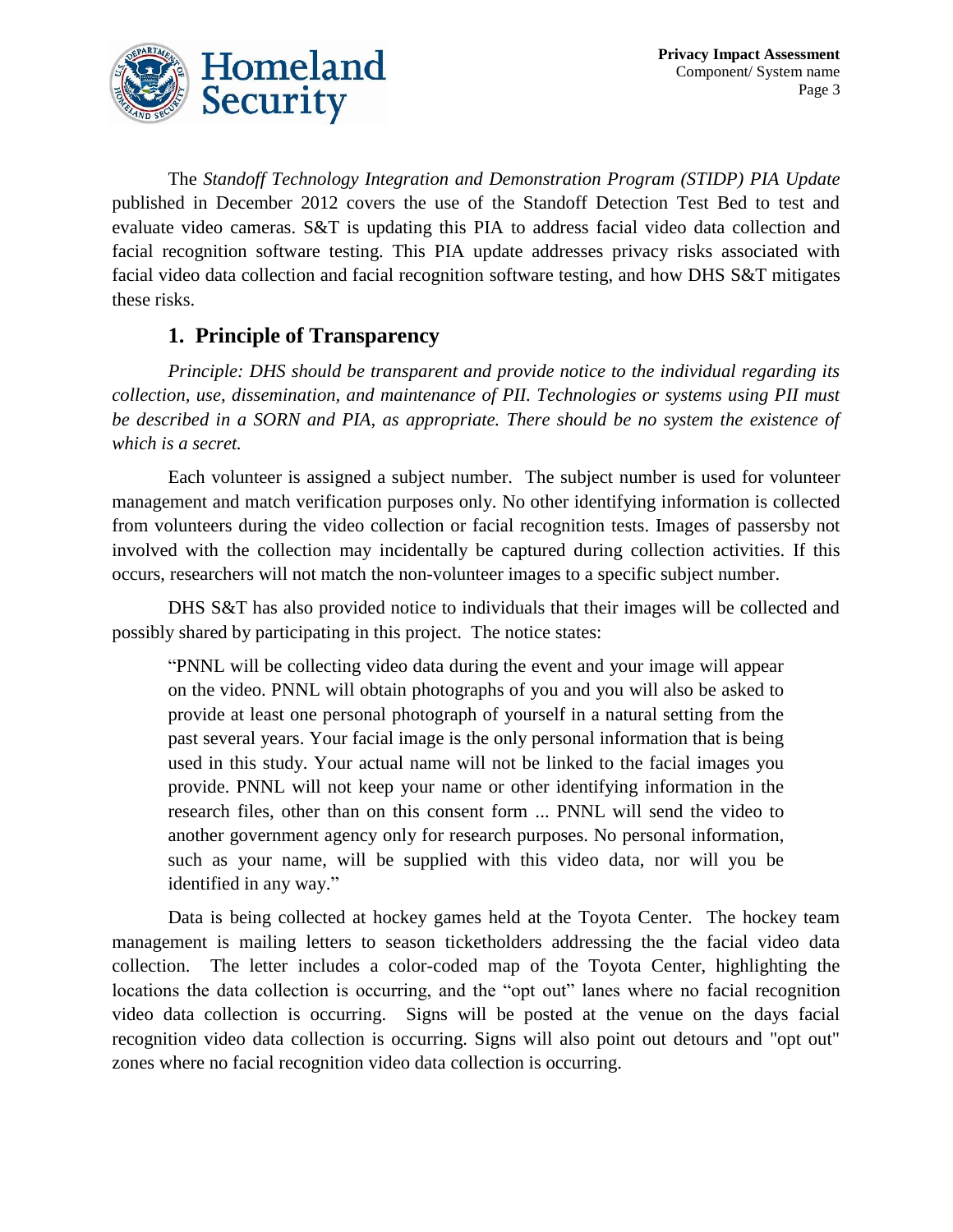

The *Standoff Technology Integration and Demonstration Program (STIDP) PIA Update* published in December 2012 covers the use of the Standoff Detection Test Bed to test and evaluate video cameras. S&T is updating this PIA to address facial video data collection and facial recognition software testing. This PIA update addresses privacy risks associated with facial video data collection and facial recognition software testing, and how DHS S&T mitigates these risks.

#### **1. Principle of Transparency**

*Principle: DHS should be transparent and provide notice to the individual regarding its collection, use, dissemination, and maintenance of PII. Technologies or systems using PII must be described in a SORN and PIA, as appropriate. There should be no system the existence of which is a secret.*

Each volunteer is assigned a subject number. The subject number is used for volunteer management and match verification purposes only. No other identifying information is collected from volunteers during the video collection or facial recognition tests. Images of passersby not involved with the collection may incidentally be captured during collection activities. If this occurs, researchers will not match the non-volunteer images to a specific subject number.

DHS S&T has also provided notice to individuals that their images will be collected and possibly shared by participating in this project. The notice states:

"PNNL will be collecting video data during the event and your image will appear on the video. PNNL will obtain photographs of you and you will also be asked to provide at least one personal photograph of yourself in a natural setting from the past several years. Your facial image is the only personal information that is being used in this study. Your actual name will not be linked to the facial images you provide. PNNL will not keep your name or other identifying information in the research files, other than on this consent form ... PNNL will send the video to another government agency only for research purposes. No personal information, such as your name, will be supplied with this video data, nor will you be identified in any way."

Data is being collected at hockey games held at the Toyota Center. The hockey team management is mailing letters to season ticketholders addressing the the facial video data collection. The letter includes a color-coded map of the Toyota Center, highlighting the locations the data collection is occurring, and the "opt out" lanes where no facial recognition video data collection is occurring. Signs will be posted at the venue on the days facial recognition video data collection is occurring. Signs will also point out detours and "opt out" zones where no facial recognition video data collection is occurring.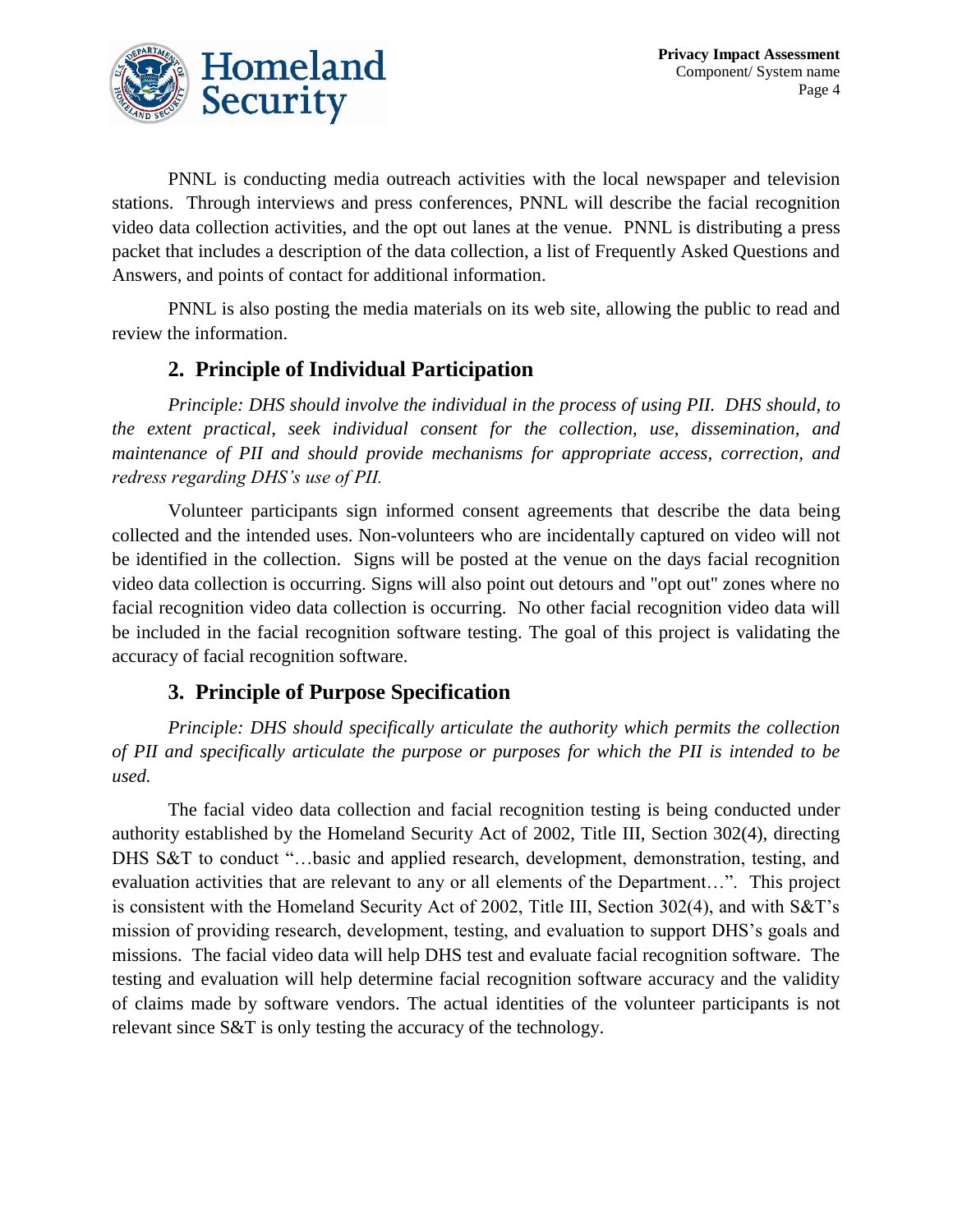

PNNL is conducting media outreach activities with the local newspaper and television stations. Through interviews and press conferences, PNNL will describe the facial recognition video data collection activities, and the opt out lanes at the venue. PNNL is distributing a press packet that includes a description of the data collection, a list of Frequently Asked Questions and Answers, and points of contact for additional information.

PNNL is also posting the media materials on its web site, allowing the public to read and review the information.

#### **2. Principle of Individual Participation**

*Principle: DHS should involve the individual in the process of using PII. DHS should, to the extent practical, seek individual consent for the collection, use, dissemination, and maintenance of PII and should provide mechanisms for appropriate access, correction, and redress regarding DHS's use of PII.*

Volunteer participants sign informed consent agreements that describe the data being collected and the intended uses. Non-volunteers who are incidentally captured on video will not be identified in the collection. Signs will be posted at the venue on the days facial recognition video data collection is occurring. Signs will also point out detours and "opt out" zones where no facial recognition video data collection is occurring. No other facial recognition video data will be included in the facial recognition software testing. The goal of this project is validating the accuracy of facial recognition software.

#### **3. Principle of Purpose Specification**

*Principle: DHS should specifically articulate the authority which permits the collection of PII and specifically articulate the purpose or purposes for which the PII is intended to be used.*

The facial video data collection and facial recognition testing is being conducted under authority established by the Homeland Security Act of 2002, Title III, Section 302(4), directing DHS S&T to conduct "...basic and applied research, development, demonstration, testing, and evaluation activities that are relevant to any or all elements of the Department…". This project is consistent with the Homeland Security Act of 2002, Title III, Section 302(4), and with S&T's mission of providing research, development, testing, and evaluation to support DHS's goals and missions. The facial video data will help DHS test and evaluate facial recognition software. The testing and evaluation will help determine facial recognition software accuracy and the validity of claims made by software vendors. The actual identities of the volunteer participants is not relevant since S&T is only testing the accuracy of the technology.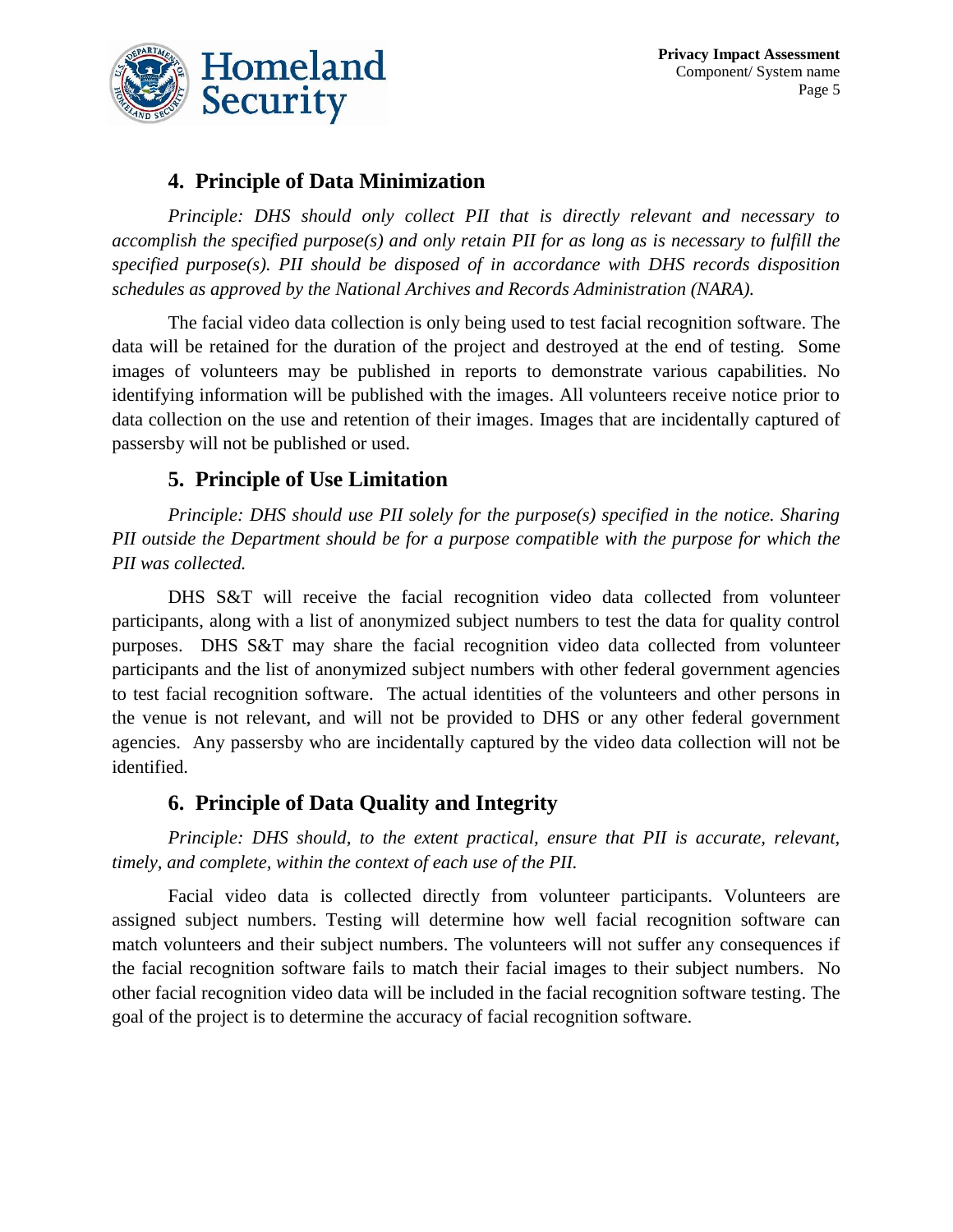

#### **4. Principle of Data Minimization**

*Principle: DHS should only collect PII that is directly relevant and necessary to accomplish the specified purpose(s) and only retain PII for as long as is necessary to fulfill the specified purpose(s). PII should be disposed of in accordance with DHS records disposition schedules as approved by the National Archives and Records Administration (NARA).*

The facial video data collection is only being used to test facial recognition software. The data will be retained for the duration of the project and destroyed at the end of testing. Some images of volunteers may be published in reports to demonstrate various capabilities. No identifying information will be published with the images. All volunteers receive notice prior to data collection on the use and retention of their images. Images that are incidentally captured of passersby will not be published or used.

#### **5. Principle of Use Limitation**

*Principle: DHS should use PII solely for the purpose(s) specified in the notice. Sharing PII outside the Department should be for a purpose compatible with the purpose for which the PII was collected.*

DHS S&T will receive the facial recognition video data collected from volunteer participants, along with a list of anonymized subject numbers to test the data for quality control purposes. DHS S&T may share the facial recognition video data collected from volunteer participants and the list of anonymized subject numbers with other federal government agencies to test facial recognition software. The actual identities of the volunteers and other persons in the venue is not relevant, and will not be provided to DHS or any other federal government agencies. Any passersby who are incidentally captured by the video data collection will not be identified.

#### **6. Principle of Data Quality and Integrity**

*Principle: DHS should, to the extent practical, ensure that PII is accurate, relevant, timely, and complete, within the context of each use of the PII.*

Facial video data is collected directly from volunteer participants. Volunteers are assigned subject numbers. Testing will determine how well facial recognition software can match volunteers and their subject numbers. The volunteers will not suffer any consequences if the facial recognition software fails to match their facial images to their subject numbers. No other facial recognition video data will be included in the facial recognition software testing. The goal of the project is to determine the accuracy of facial recognition software.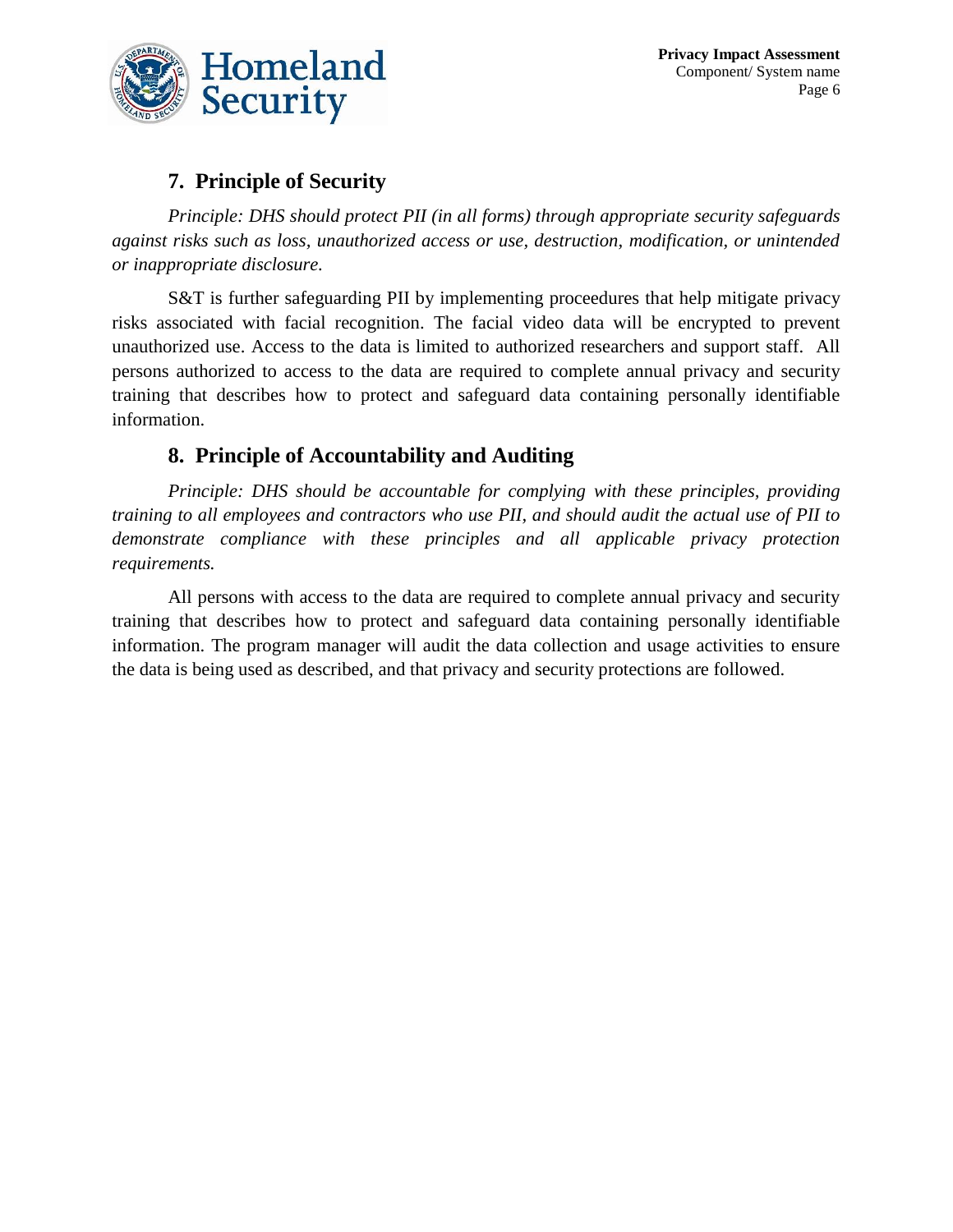

#### **7. Principle of Security**

*Principle: DHS should protect PII (in all forms) through appropriate security safeguards against risks such as loss, unauthorized access or use, destruction, modification, or unintended or inappropriate disclosure.*

S&T is further safeguarding PII by implementing proceedures that help mitigate privacy risks associated with facial recognition. The facial video data will be encrypted to prevent unauthorized use. Access to the data is limited to authorized researchers and support staff. All persons authorized to access to the data are required to complete annual privacy and security training that describes how to protect and safeguard data containing personally identifiable information.

#### **8. Principle of Accountability and Auditing**

*Principle: DHS should be accountable for complying with these principles, providing training to all employees and contractors who use PII, and should audit the actual use of PII to demonstrate compliance with these principles and all applicable privacy protection requirements.*

All persons with access to the data are required to complete annual privacy and security training that describes how to protect and safeguard data containing personally identifiable information. The program manager will audit the data collection and usage activities to ensure the data is being used as described, and that privacy and security protections are followed.